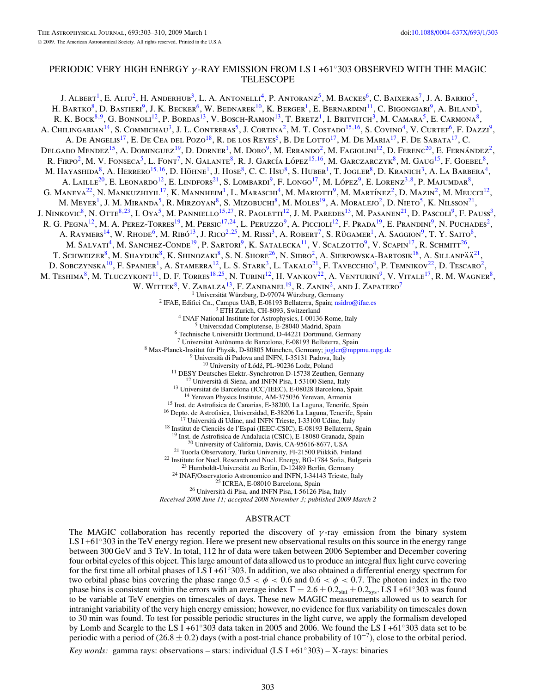# PERIODIC VERY HIGH ENERGY *γ* -RAY EMISSION FROM LS I +61◦303 OBSERVED WITH THE MAGIC TELESCOPE

J. Albert<sup>1</sup>, E. Aliu<sup>2</sup>, H. Anderhub<sup>3</sup>, L. A. Antonelli<sup>4</sup>, P. Antoranz<sup>5</sup>, M. Backes<sup>6</sup>, C. Baixeras<sup>7</sup>, J. A. Barrio<sup>5</sup>, H. Bartko<sup>8</sup>, D. Bastieri<sup>9</sup>, J. K. Becker<sup>6</sup>, W. Bednarek<sup>10</sup>, K. Berger<sup>1</sup>, E. Bernardini<sup>11</sup>, C. Bigongiari<sup>9</sup>, A. Biland<sup>3</sup>, R. K. Bock<sup>8,9</sup>, G. Bonnoli<sup>12</sup>, P. Bordas<sup>13</sup>, V. Bosch-Ramon<sup>13</sup>, T. Bretz<sup>1</sup>, I. Britvitch<sup>3</sup>, M. Camara<sup>5</sup>, E. Carmona<sup>8</sup>, A. Chilingarian<sup>14</sup>, S. Commichau<sup>3</sup>, J. L. Contreras<sup>5</sup>, J. Cortina<sup>2</sup>, M. T. Costado<sup>15,16</sup>, S. Covino<sup>4</sup>, V. Curtef<sup>6</sup>, F. Dazzi<sup>9</sup>, A. De Angelis<sup>17</sup>, E. De Cea del Pozo<sup>18</sup>, R. de los Reyes<sup>5</sup>, B. De Lotto<sup>17</sup>, M. De Maria<sup>17</sup>, F. De Sabata<sup>17</sup>, C. DELGADO MENDEZ<sup>15</sup>, A. DOMINGUEZ<sup>19</sup>, D. DORNER<sup>1</sup>, M. DORO<sup>9</sup>, M. ERRANDO<sup>2</sup>, M. FAGIOLINI<sup>12</sup>, D. FERENC<sup>20</sup>, E. FERNÁNDEZ<sup>2</sup>, R. FIRPO<sup>2</sup>, M. V. FONSECA<sup>5</sup>, L. FONT<sup>7</sup>, N. GALANTE<sup>8</sup>, R. J. GARCÍA LÓPEZ<sup>15,16</sup>, M. GARCZARCZYK<sup>8</sup>, M. GAUG<sup>15</sup>, F. GOEBEL<sup>8</sup>, M. HAYASHIDA<sup>8</sup>, A. HERRERO<sup>15,16</sup>, D. HÖHNE<sup>1</sup>, J. HOSE<sup>8</sup>, C. C. Hsu<sup>8</sup>, S. HUBER<sup>1</sup>, T. JOGLER<sup>8</sup>, D. KRANICH<sup>3</sup>, A. LA BARBERA<sup>4</sup>, A. LAILLE<sup>20</sup>, E. LEONARDO<sup>12</sup>, E. LINDFORS<sup>21</sup>, S. LOMBARDI<sup>9</sup>, F. LONGO<sup>17</sup>, M. LÓPEZ<sup>9</sup>, E. LORENZ<sup>3,8</sup>, P. MAJUMDAR<sup>8</sup>, G. MANEVA<sup>22</sup>, N. MANKUZHIYIL<sup>17</sup>, K. MANNHEIM<sup>1</sup>, L. MARASCHI<sup>4</sup>, M. MARIOTTI<sup>9</sup>, M. MARTÍNEZ<sup>2</sup>, D. MAZIN<sup>2</sup>, M. MEUCCI<sup>12</sup>, M. Meyer<sup>1</sup>, J. M. Miranda<sup>5</sup>, R. Mirzoyan<sup>8</sup>, S. Mizobuchi<sup>8</sup>, M. Moles<sup>19</sup>, A. Moralejo<sup>2</sup>, D. Nieto<sup>5</sup>, K. Nilsson<sup>21</sup>, J. NINKOVIC<sup>8</sup>, N. OTTE<sup>8,23</sup>, I. OYA<sup>5</sup>, M. PANNIELLO<sup>15,[27](#page-1-0)</sup>, R. PAOLETTI<sup>12</sup>, J. M. PAREDES<sup>13</sup>, M. PASANEN<sup>21</sup>, D. PASCOLI<sup>9</sup>, F. PAUSS<sup>3</sup>, R. G. Pegna<sup>12</sup>, M. A. Perez-Torres<sup>19</sup>, M. Persic<sup>17,24</sup>, L. Peruzzo<sup>9</sup>, A. Piccioli<sup>12</sup>, F. Prada<sup>19</sup>, E. Prandini<sup>9</sup>, N. Puchades<sup>2</sup>, A. RAYMERS<sup>14</sup>, W. RHODE<sup>6</sup>, M. RIBÓ<sup>13</sup>, J. RICO<sup>2,25</sup>, M. RISSI<sup>3</sup>, A. ROBERT<sup>7</sup>, S. RÜGAMER<sup>1</sup>, A. SAGGION<sup>9</sup>, T. Y. SAITO<sup>8</sup>, M. SALVATI<sup>4</sup>, M. SANCHEZ-CONDE<sup>19</sup>, P. SARTORI<sup>9</sup>, K. SATALECKA<sup>11</sup>, V. SCALZOTTO<sup>9</sup>, V. SCAPIN<sup>17</sup>, R. SCHMITT<sup>26</sup>, T. SCHWEIZER<sup>8</sup>, M. SHAYDUK<sup>8</sup>, K. SHINOZAKI<sup>8</sup>, S. N. SHORE<sup>26</sup>, N. SIDRO<sup>2</sup>, A. SIERPOWSKA-BARTOSIK<sup>18</sup>, A. SILLANPÄÄ<sup>21</sup>, D. SOBCZYNSKA<sup>10</sup>, F. SPANIER<sup>1</sup>, A. STAMERRA<sup>12</sup>, L. S. STARK<sup>3</sup>, L. TAKALO<sup>21</sup>, F. TAVECCHIO<sup>4</sup>, P. TEMNIKOV<sup>22</sup>, D. TESCARO<sup>2</sup>, M. Teshima<sup>8</sup>, M. Tluczykont<sup>11</sup>, D. F. Torres<sup>18,25</sup>, N. Turini<sup>12</sup>, H. Vankov<sup>22</sup>, A. Venturini<sup>9</sup>, V. Vitale<sup>17</sup>, R. M. Wagner<sup>8</sup>, W. WITTEK<sup>8</sup>, V. ZABALZA<sup>13</sup>, F. ZANDANEL<sup>19</sup>, R. ZANIN<sup>2</sup>, AND J. ZAPATERO<sup>7</sup><br><sup>1</sup> Universität Würzburg, D-97074 Würzburg, Germany <sup>1</sup> Universität Würzburg, D-97074 Würzburg, Germany<br>
<sup>2</sup> IFAE, Edifici Cn., Campus UAB, E-08193 Bellaterra, Spain, [nsidro@ifae.es](mailto:nsidro@ifae.es)<br>
<sup>3</sup> ETH Zurich, CH-8093, Switzerland<br>
<sup>4</sup> INAF National Institute for Astrophysics, 1-0013 *Received 2008 June 11; accepted 2008 November 3; published 2009 March 2*

### ABSTRACT

The MAGIC collaboration has recently reported the discovery of  $\gamma$ -ray emission from the binary system LS I +61<sup>°303</sup> in the TeV energy region. Here we present new observational results on this source in the energy range between 300 GeV and 3 TeV. In total, 112 hr of data were taken between 2006 September and December covering four orbital cycles of this object. This large amount of data allowed us to produce an integral flux light curve covering for the first time all orbital phases of LS I +61 $^{\circ}303$ . In addition, we also obtained a differential energy spectrum for two orbital phase bins covering the phase range  $0.5 < \phi < 0.6$  and  $0.6 < \phi < 0.7$ . The photon index in the two phase bins is consistent within the errors with an average index  $\Gamma = 2.6 \pm 0.2$ <sub>stat</sub>  $\pm 0.2$ <sub>sys</sub>. LS I +61°303 was found to be variable at TeV energies on timescales of days. These new MAGIC measurements allowed us to search for intranight variability of the very high energy emission; however, no evidence for flux variability on timescales down to 30 min was found. To test for possible periodic structures in the light curve, we apply the formalism developed by Lomb and Scargle to the LS I +61◦303 data taken in 2005 and 2006. We found the LS I +61◦303 data set to be periodic with a period of (26.8  $\pm$  0.2) days (with a post-trial chance probability of 10<sup>-7</sup>), close to the orbital period.

*Key words:* gamma rays: observations – stars: individual (LS I +61◦303) – X-rays: binaries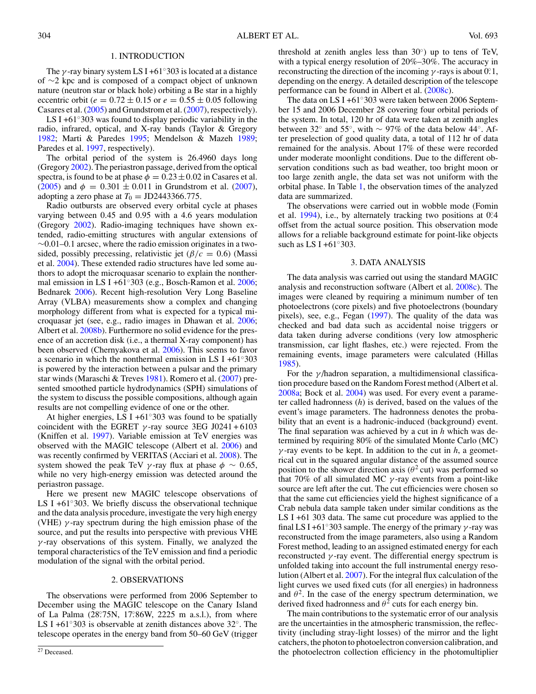### 1. INTRODUCTION

<span id="page-1-0"></span>The *γ* -ray binary system LS I +61◦303 is located at a distance of ∼2 kpc and is composed of a compact object of unknown nature (neutron star or black hole) orbiting a Be star in a highly eccentric orbit ( $e = 0.72 \pm 0.15$  or  $e = 0.55 \pm 0.05$  following Casares et al. [\(2005\)](#page-7-0) and Grundstrom et al. [\(2007\)](#page-7-0), respectively).

LS I +61 $\degree$ 303 was found to display periodic variability in the radio, infrared, optical, and X-ray bands (Taylor & Gregory [1982;](#page-7-0) Marti & Paredes [1995;](#page-7-0) Mendelson & Mazeh [1989;](#page-7-0) Paredes et al. [1997,](#page-7-0) respectively).

The orbital period of the system is 26.4960 days long (Gregory [2002\)](#page-7-0). The periastron passage, derived from the optical spectra, is found to be at phase  $\phi = 0.23 \pm 0.02$  in Casares et al. [\(2005\)](#page-7-0) and  $\phi = 0.301 \pm 0.011$  in Grundstrom et al. [\(2007\)](#page-7-0), adopting a zero phase at  $T_0 = JD2443366.775$ .

Radio outbursts are observed every orbital cycle at phases varying between 0.45 and 0.95 with a 4.6 years modulation (Gregory [2002\)](#page-7-0). Radio-imaging techniques have shown extended, radio-emitting structures with angular extensions of  $~\sim$ 0.01–0.1 arcsec, where the radio emission originates in a twosided, possibly precessing, relativistic jet  $(\beta/c = 0.6)$  (Massi et al. [2004\)](#page-7-0). These extended radio structures have led some authors to adopt the microquasar scenario to explain the nonthermal emission in LS I +61◦303 (e.g., Bosch-Ramon et al. [2006;](#page-7-0) Bednarek [2006\)](#page-7-0). Recent high-resolution Very Long Baseline Array (VLBA) measurements show a complex and changing morphology different from what is expected for a typical microquasar jet (see, e.g., radio images in Dhawan et al. [2006;](#page-7-0) Albert et al. [2008b\)](#page-7-0). Furthermore no solid evidence for the presence of an accretion disk (i.e., a thermal X-ray component) has been observed (Chernyakova et al. [2006\)](#page-7-0). This seems to favor a scenario in which the nonthermal emission in LS I +61◦303 is powered by the interaction between a pulsar and the primary star winds (Maraschi & Treves [1981\)](#page-7-0). Romero et al. [\(2007\)](#page-7-0) presented smoothed particle hydrodynamics (SPH) simulations of the system to discuss the possible compositions, although again results are not compelling evidence of one or the other.

At higher energies, LS I +61 $\degree$ 303 was found to be spatially coincident with the EGRET  $\gamma$ -ray source 3EG J0241+6103 (Kniffen et al. [1997\)](#page-7-0). Variable emission at TeV energies was observed with the MAGIC telescope (Albert et al. [2006\)](#page-7-0) and was recently confirmed by VERITAS (Acciari et al. [2008\)](#page-7-0). The system showed the peak TeV  $\gamma$ -ray flux at phase  $\phi \sim 0.65$ , while no very high-energy emission was detected around the periastron passage.

Here we present new MAGIC telescope observations of LS I +61◦303. We briefly discuss the observational technique and the data analysis procedure, investigate the very high energy (VHE) *γ* -ray spectrum during the high emission phase of the source, and put the results into perspective with previous VHE *γ* -ray observations of this system. Finally, we analyzed the temporal characteristics of the TeV emission and find a periodic modulation of the signal with the orbital period.

### 2. OBSERVATIONS

The observations were performed from 2006 September to December using the MAGIC telescope on the Canary Island of La Palma (28°.75N, 17°.86W, 2225 m a.s.l.), from where LS I +61◦303 is observable at zenith distances above 32◦. The telescope operates in the energy band from 50–60 GeV (trigger

threshold at zenith angles less than  $30°$ ) up to tens of TeV, with a typical energy resolution of 20%–30%. The accuracy in reconstructing the direction of the incoming  $\gamma$ -rays is about 0.<sup>2</sup>.1, depending on the energy. A detailed description of the telescope performance can be found in Albert et al. [\(2008c\)](#page-7-0).

The data on LS I +61◦303 were taken between 2006 September 15 and 2006 December 28 covering four orbital periods of the system. In total, 120 hr of data were taken at zenith angles between 32° and 55°, with  $\sim$  97% of the data below 44°. After preselection of good quality data, a total of 112 hr of data remained for the analysis. About 17% of these were recorded under moderate moonlight conditions. Due to the different observation conditions such as bad weather, too bright moon or too large zenith angle, the data set was not uniform with the orbital phase. In Table [1,](#page-2-0) the observation times of the analyzed data are summarized.

The observations were carried out in wobble mode (Fomin et al. [1994\)](#page-7-0), i.e., by alternately tracking two positions at 0.<sup>2</sup>4 offset from the actual source position. This observation mode allows for a reliable background estimate for point-like objects such as LS I +61°303.

#### 3. DATA ANALYSIS

The data analysis was carried out using the standard MAGIC analysis and reconstruction software (Albert et al. [2008c\)](#page-7-0). The images were cleaned by requiring a minimum number of ten photoelectrons (core pixels) and five photoelectrons (boundary pixels), see, e.g., Fegan [\(1997\)](#page-7-0). The quality of the data was checked and bad data such as accidental noise triggers or data taken during adverse conditions (very low atmospheric transmission, car light flashes, etc.) were rejected. From the remaining events, image parameters were calculated (Hillas [1985\)](#page-7-0).

For the *γ* /hadron separation, a multidimensional classification procedure based on the Random Forest method (Albert et al. [2008a;](#page-7-0) Bock et al. [2004\)](#page-7-0) was used. For every event a parameter called hadronness (*h*) is derived, based on the values of the event's image parameters. The hadronness denotes the probability that an event is a hadronic-induced (background) event. The final separation was achieved by a cut in *h* which was determined by requiring 80% of the simulated Monte Carlo (MC) *γ* -ray events to be kept. In addition to the cut in *h*, a geometrical cut in the squared angular distance of the assumed source position to the shower direction axis ( $\theta^2$  cut) was performed so that 70% of all simulated MC *γ* -ray events from a point-like source are left after the cut. The cut efficiencies were chosen so that the same cut efficiencies yield the highest significance of a Crab nebula data sample taken under similar conditions as the LS I +61 303 data. The same cut procedure was applied to the final LS I +61◦303 sample. The energy of the primary *γ* -ray was reconstructed from the image parameters, also using a Random Forest method, leading to an assigned estimated energy for each reconstructed  $\gamma$ -ray event. The differential energy spectrum is unfolded taking into account the full instrumental energy resolution (Albert et al. [2007\)](#page-7-0). For the integral flux calculation of the light curves we used fixed cuts (for all energies) in hadronness and  $\theta^2$ . In the case of the energy spectrum determination, we derived fixed hadronness and  $\theta^2$  cuts for each energy bin.

The main contributions to the systematic error of our analysis are the uncertainties in the atmospheric transmission, the reflectivity (including stray-light losses) of the mirror and the light catchers, the photon to photoelectron conversion calibration, and the photoelectron collection efficiency in the photomultiplier

 $27$  Deceased.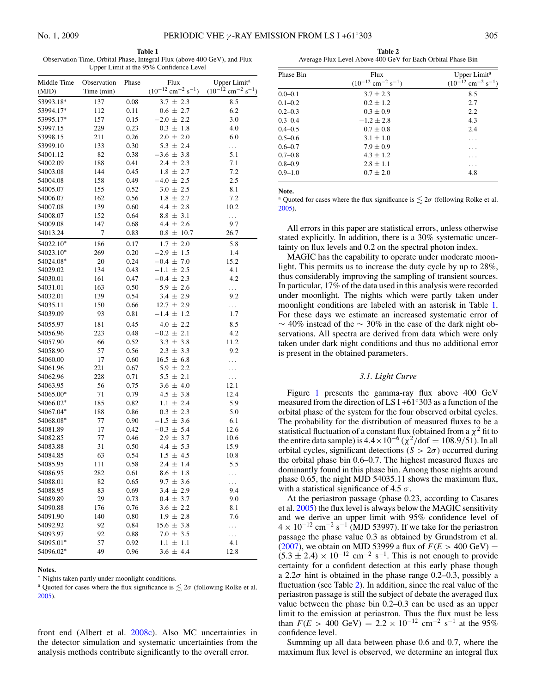<span id="page-2-0"></span>**Table 1** Observation Time, Orbital Phase, Integral Flux (above 400 GeV), and Flux Upper Limit at the 95% Confidence Level

| Middle Time | Observation | Phase | Flux                                           | Upper Limit <sup>a</sup>                       |
|-------------|-------------|-------|------------------------------------------------|------------------------------------------------|
| (MJD)       | Time (min)  |       | $(10^{-12}$ cm <sup>-2</sup> s <sup>-1</sup> ) | $(10^{-12}$ cm <sup>-2</sup> s <sup>-1</sup> ) |
| 53993.18*   | 137         | 0.08  | $3.7 \pm 2.3$                                  | 8.5                                            |
| 53994.17*   | 112         | 0.11  | $0.6 \pm 2.7$                                  | 6.2                                            |
| 53995.17*   | 157         | 0.15  | $-2.0 \pm 2.2$                                 | 3.0                                            |
| 53997.15    | 229         | 0.23  | $0.3 \pm 1.8$                                  | 4.0                                            |
| 53998.15    | 211         | 0.26  | $2.0 \pm 2.0$                                  | 6.0                                            |
| 53999.10    | 133         | 0.30  | $5.3 \pm 2.4$                                  | $\ldots$                                       |
| 54001.12    | 82          | 0.38  | $-3.6 \pm 3.8$                                 | 5.1                                            |
| 54002.09    | 188         | 0.41  | $2.4 \pm 2.3$                                  | 7.1                                            |
| 54003.08    | 144         | 0.45  | $1.8 \pm 2.7$                                  | 7.2                                            |
| 54004.08    | 158         | 0.49  | $-4.0 \pm 2.5$                                 | 2.5                                            |
| 54005.07    | 155         | 0.52  | $3.0 \pm 2.5$                                  | 8.1                                            |
| 54006.07    | 162         | 0.56  | $1.8 \pm 2.7$                                  | 7.2                                            |
| 54007.08    | 139         | 0.60  | $4.4 \pm 2.8$                                  | 10.2                                           |
| 54008.07    | 152         | 0.64  | $8.8 \pm 3.1$                                  | $\ddotsc$                                      |
| 54009.08    | 147         | 0.68  | $4.4 \pm 2.6$                                  | 9.7                                            |
| 54013.24    | 7           | 0.83  | $0.8 \pm 10.7$                                 | 26.7                                           |
| 54022.10*   | 186         | 0.17  | $1.7 \pm 2.0$                                  | 5.8                                            |
| 54023.10*   | 269         | 0.20  | $-2.9 \pm 1.5$                                 | 1.4                                            |
| 54024.08*   | 20          | 0.24  | $-0.4 \pm 7.0$                                 | 15.2                                           |
| 54029.02    | 134         | 0.43  | $-1.1 \pm 2.5$                                 | 4.1                                            |
| 54030.01    | 161         | 0.47  | $-0.4 \pm 2.3$                                 | 4.2                                            |
| 54031.01    | 163         | 0.50  | $5.9 \pm 2.6$                                  | $\ldots$                                       |
| 54032.01    | 139         | 0.54  | $3.4 \pm 2.9$                                  | 9.2                                            |
| 54035.11    | 150         | 0.66  | $12.7 \pm 2.9$                                 | $\ldots$                                       |
| 54039.09    | 93          | 0.81  | $-1.4 \pm 1.2$                                 | 1.7                                            |
| 54055.97    | 181         | 0.45  | $4.0 \pm 2.2$                                  | 8.5                                            |
| 54056.96    | 223         | 0.48  | $-0.2 \pm 2.1$                                 | 4.2                                            |
| 54057.90    | 66          | 0.52  | $3.3 \pm 3.8$                                  | 11.2                                           |
| 54058.90    | 57          | 0.56  | $2.3 \pm 3.3$                                  | 9.2                                            |
| 54060.00    | 17          | 0.60  | $16.5 \pm 6.8$                                 | .                                              |
| 54061.96    | 221         | 0.67  | $5.9 \pm 2.2$                                  | .                                              |
| 54062.96    | 228         | 0.71  | $5.5 \pm 2.1$                                  | $\ldots$                                       |
| 54063.95    | 56          | 0.75  | $3.6 \pm 4.0$                                  | 12.1                                           |
| 54065.00*   | 71          | 0.79  | $4.5 \pm 3.8$                                  | 12.4                                           |
| 54066.02*   | 185         | 0.82  | $1.1 \pm 2.4$                                  | 5.9                                            |
| 54067.04*   | 188         | 0.86  | $0.3 \pm 2.3$                                  | 5.0                                            |
| 54068.08*   | 77          | 0.90  | $-1.5 \pm 3.6$                                 | 6.1                                            |
| 54081.89    | 17          | 0.42  | $-0.3 \pm 5.4$                                 | 12.6                                           |
| 54082.85    | 77          | 0.46  | $2.9 \pm 3.7$                                  | 10.6                                           |
| 54083.88    | 31          | 0.50  | $4.4 \pm 5.3$                                  | 15.9                                           |
| 54084.85    | 63          | 0.54  | $1.5 \pm 4.5$                                  | 10.8                                           |
| 54085.95    | 111         | 0.58  | $2.4 \pm 1.4$                                  | 5.5                                            |
| 54086.95    | 282         | 0.61  | $8.6 \pm 1.8$                                  | .                                              |
| 54088.01    | 82          | 0.65  | $9.7 \pm 3.6$                                  |                                                |
| 54088.95    | 83          | 0.69  | $3.4 \pm 2.9$                                  | 9.4                                            |
| 54089.89    | 29          | 0.73  | $0.4 \pm 3.7$                                  | 9.0                                            |
| 54090.88    | 176         | 0.76  | $3.6 \pm 2.2$                                  | 8.1                                            |
| 54091.90    | 140         | 0.80  | $1.9 \pm 2.8$                                  | 7.6                                            |
| 54092.92    | 92          | 0.84  | $15.6 \pm 3.8$                                 | .                                              |
| 54093.97    | 92          | 0.88  | $7.0 \pm 3.5$                                  | .                                              |
| 54095.01*   | 57          | 0.92  | $1.1 \pm 1.1$                                  | 4.1                                            |
| 54096.02*   | 49          | 0.96  | $3.6 \pm 4.4$                                  | 12.8                                           |
|             |             |       |                                                |                                                |

**Notes.**

∗ Nights taken partly under moonlight conditions.

<sup>a</sup> Quoted for cases where the flux significance is  $\leq 2\sigma$  (following Rolke et al. [2005\)](#page-7-0).

front end (Albert et al. [2008c\)](#page-7-0). Also MC uncertainties in the detector simulation and systematic uncertainties from the analysis methods contribute significantly to the overall error.

**Table 2** Average Flux Level Above 400 GeV for Each Orbital Phase Bin

| Phase Bin   | Flux<br>$(10^{-12}$ cm <sup>-2</sup> s <sup>-1</sup> ) | Upper Limit <sup>a</sup><br>$(10^{-12}$ cm <sup>-2</sup> s <sup>-1</sup> ) |
|-------------|--------------------------------------------------------|----------------------------------------------------------------------------|
| $0.0 - 0.1$ | $3.7 \pm 2.3$                                          | 8.5                                                                        |
| $0.1 - 0.2$ | $0.2 + 1.2$                                            | 2.7                                                                        |
| $0.2 - 0.3$ | $0.3 \pm 0.9$                                          | 2.2                                                                        |
| $0.3 - 0.4$ | $-1.2 \pm 2.8$                                         | 4.3                                                                        |
| $0.4 - 0.5$ | $0.7 \pm 0.8$                                          | 2.4                                                                        |
| $0.5 - 0.6$ | $3.1 \pm 1.0$                                          | .                                                                          |
| $0.6 - 0.7$ | $7.9 \pm 0.9$                                          | .                                                                          |
| $0.7 - 0.8$ | $4.3 + 1.2$                                            | $\cdots$                                                                   |
| $0.8 - 0.9$ | $2.8 \pm 1.1$                                          | .                                                                          |
| $0.9 - 1.0$ | $0.7 \pm 2.0$                                          | 4.8                                                                        |

**Note.**

<sup>a</sup> Quoted for cases where the flux significance is  $\leq 2\sigma$  (following Rolke et al. [2005\)](#page-7-0).

All errors in this paper are statistical errors, unless otherwise stated explicitly. In addition, there is a 30% systematic uncertainty on flux levels and 0*.*2 on the spectral photon index.

MAGIC has the capability to operate under moderate moonlight. This permits us to increase the duty cycle by up to 28%, thus considerably improving the sampling of transient sources. In particular, 17% of the data used in this analysis were recorded under moonlight. The nights which were partly taken under moonlight conditions are labeled with an asterisk in Table 1. For these days we estimate an increased systematic error of  $\sim$  40% instead of the  $\sim$  30% in the case of the dark night observations. All spectra are derived from data which were only taken under dark night conditions and thus no additional error is present in the obtained parameters.

#### *3.1. Light Curve*

Figure [1](#page-3-0) presents the gamma-ray flux above 400 GeV measured from the direction of LS I +61◦303 as a function of the orbital phase of the system for the four observed orbital cycles. The probability for the distribution of measured fluxes to be a statistical fluctuation of a constant flux (obtained from a  $\chi^2$  fit to the entire data sample) is  $4.4 \times 10^{-6}$  ( $\chi^2$ /dof = 108*.9*/51). In all orbital cycles, significant detections ( $S > 2\sigma$ ) occurred during the orbital phase bin 0.6–0.7. The highest measured fluxes are dominantly found in this phase bin. Among those nights around phase 0.65, the night MJD 54035.11 shows the maximum flux, with a statistical significance of 4.5 *σ*.

At the periastron passage (phase 0.23, according to Casares et al. [2005\)](#page-7-0) the flux level is always below the MAGIC sensitivity and we derive an upper limit with 95% confidence level of  $4 \times 10^{-12}$  cm<sup>-2</sup> s<sup>-1</sup> (MJD 53997). If we take for the periastron passage the phase value 0.3 as obtained by Grundstrom et al. [\(2007\)](#page-7-0), we obtain on MJD 53999 a flux of  $F(E > 400 \text{ GeV}) =$  $(5.3 \pm 2.4) \times 10^{-12}$  cm<sup>-2</sup> s<sup>-1</sup>. This is not enough to provide certainty for a confident detection at this early phase though a 2.2*σ* hint is obtained in the phase range 0.2–0.3, possibly a fluctuation (see Table 2). In addition, since the real value of the periastron passage is still the subject of debate the averaged flux value between the phase bin 0.2–0.3 can be used as an upper limit to the emission at periastron. Thus the flux must be less than  $F(E > 400 \text{ GeV}) = 2.2 \times 10^{-12} \text{ cm}^{-2} \text{ s}^{-1}$  at the 95% confidence level.

Summing up all data between phase 0.6 and 0.7, where the maximum flux level is observed, we determine an integral flux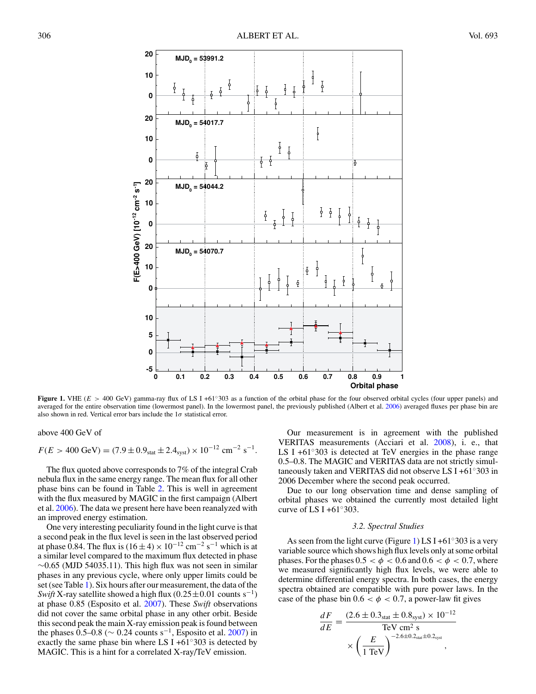<span id="page-3-0"></span>

**Figure 1.** VHE (*E >* 400 GeV) gamma-ray flux of LS I +61◦303 as a function of the orbital phase for the four observed orbital cycles (four upper panels) and averaged for the entire observation time (lowermost panel). In the lowermost panel, the previously published (Albert et al. [2006\)](#page-7-0) averaged fluxes per phase bin are also shown in red. Vertical error bars include the 1*σ* statistical error.

above 400 GeV of

$$
F(E > 400 \text{ GeV}) = (7.9 \pm 0.9_{\text{stat}} \pm 2.4_{\text{syst}}) \times 10^{-12} \text{ cm}^{-2} \text{ s}^{-1}.
$$

The flux quoted above corresponds to 7% of the integral Crab nebula flux in the same energy range. The mean flux for all other phase bins can be found in Table [2.](#page-2-0) This is well in agreement with the flux measured by MAGIC in the first campaign (Albert et al. [2006\)](#page-7-0). The data we present here have been reanalyzed with an improved energy estimation.

One very interesting peculiarity found in the light curve is that a second peak in the flux level is seen in the last observed period at phase 0.84. The flux is  $(16 \pm 4) \times 10^{-12}$  cm<sup>-2</sup> s<sup>-1</sup> which is at a similar level compared to the maximum flux detected in phase  $\sim$ 0.65 (MJD 54035.11). This high flux was not seen in similar phases in any previous cycle, where only upper limits could be set (see Table [1\)](#page-2-0). Six hours after our measurement, the data of the *Swift* X-ray satellite showed a high flux  $(0.25 \pm 0.01$  counts s<sup>-1</sup>) at phase 0.85 (Esposito et al. [2007\)](#page-7-0). These *Swift* observations did not cover the same orbital phase in any other orbit. Beside this second peak the main X-ray emission peak is found between the phases  $0.5-0.8$  ( $\sim 0.24$  counts s<sup>-1</sup>, Esposito et al. [2007\)](#page-7-0) in exactly the same phase bin where LS I +61◦303 is detected by MAGIC. This is a hint for a correlated X-ray/TeV emission.

Our measurement is in agreement with the published VERITAS measurements (Acciari et al. [2008\)](#page-7-0), i. e., that LS I +61◦303 is detected at TeV energies in the phase range 0.5–0.8. The MAGIC and VERITAS data are not strictly simultaneously taken and VERITAS did not observe LS I +61◦303 in 2006 December where the second peak occurred.

Due to our long observation time and dense sampling of orbital phases we obtained the currently most detailed light curve of LS I +61 $\degree$ 303.

#### *3.2. Spectral Studies*

As seen from the light curve (Figure 1) LS I +61 $\degree$ 303 is a very variable source which shows high flux levels only at some orbital phases. For the phases  $0.5 < \phi < 0.6$  and  $0.6 < \phi < 0.7$ , where we measured significantly high flux levels, we were able to determine differential energy spectra. In both cases, the energy spectra obtained are compatible with pure power laws. In the case of the phase bin  $0.6 < \phi < 0.7$ , a power-law fit gives

$$
\frac{dF}{dE} = \frac{(2.6 \pm 0.3_{\text{stat}} \pm 0.8_{\text{syst}}) \times 10^{-12}}{\text{TeV cm}^2 \text{ s}} \times \left(\frac{E}{1 \text{ TeV}}\right)^{-2.6 \pm 0.2_{\text{stat}} \pm 0.2_{\text{syst}}},
$$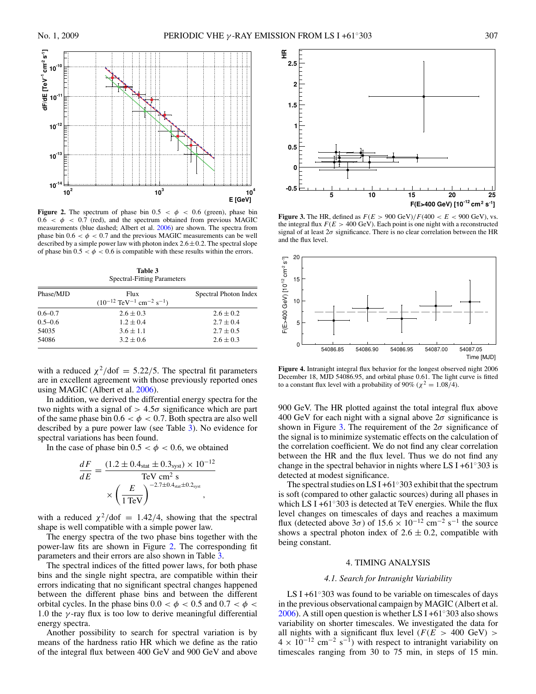<span id="page-4-0"></span>

**Figure 2.** The spectrum of phase bin  $0.5 < \phi < 0.6$  (green), phase bin  $0.6 < \phi < 0.7$  (red), and the spectrum obtained from previous MAGIC measurements (blue dashed; Albert et al. [2006\)](#page-7-0) are shown. The spectra from phase bin  $0.6 < \phi < 0.7$  and the previous MAGIC measurements can be well described by a simple power law with photon index  $2.6 \pm 0.2$ . The spectral slope of phase bin  $0.5 < \phi < 0.6$  is compatible with these results within the errors.

**Table 3** Spectral-Fitting Parameters

| Phase/MJD   | Flux<br>$(10^{-12} \text{ TeV}^{-1} \text{ cm}^{-2} \text{ s}^{-1})$ | Spectral Photon Index |
|-------------|----------------------------------------------------------------------|-----------------------|
|             |                                                                      |                       |
| $0.6 - 0.7$ | $2.6 \pm 0.3$                                                        | $2.6 \pm 0.2$         |
| $0.5 - 0.6$ | $1.2 \pm 0.4$                                                        | $2.7 \pm 0.4$         |
| 54035       | $3.6 \pm 1.1$                                                        | $2.7 \pm 0.5$         |
| 54086       | $3.2 \pm 0.6$                                                        | $2.6 \pm 0.3$         |

with a reduced  $\chi^2$ /dof = 5.22/5. The spectral fit parameters are in excellent agreement with those previously reported ones using MAGIC (Albert et al. [2006\)](#page-7-0).

In addition, we derived the differential energy spectra for the two nights with a signal of  $> 4.5\sigma$  significance which are part of the same phase bin  $0.6 < \phi < 0.7$ . Both spectra are also well described by a pure power law (see Table 3). No evidence for spectral variations has been found.

In the case of phase bin  $0.5 < \phi < 0.6$ , we obtained

$$
\frac{dF}{dE} = \frac{(1.2 \pm 0.4_{\text{stat}} \pm 0.3_{\text{syst}}) \times 10^{-12}}{\text{TeV cm}^2 \text{ s}}
$$

$$
\times \left(\frac{E}{1 \text{TeV}}\right)^{-2.7 \pm 0.4_{\text{stat}} \pm 0.2_{\text{syst}}},
$$

with a reduced  $\chi^2$ /dof = 1.42/4, showing that the spectral shape is well compatible with a simple power law.

The energy spectra of the two phase bins together with the power-law fits are shown in Figure 2. The corresponding fit parameters and their errors are also shown in Table 3.

The spectral indices of the fitted power laws, for both phase bins and the single night spectra, are compatible within their errors indicating that no significant spectral changes happened between the different phase bins and between the different orbital cycles. In the phase bins  $0.0 < \phi < 0.5$  and  $0.7 < \phi <$ 1*.*0 the *γ* -ray flux is too low to derive meaningful differential energy spectra.

Another possibility to search for spectral variation is by means of the hardness ratio HR which we define as the ratio of the integral flux between 400 GeV and 900 GeV and above



**Figure 3.** The HR, defined as  $F(E > 900 \text{ GeV})/F(400 < E < 900 \text{ GeV})$ , vs. the integral flux  $F(E > 400 \text{ GeV})$ . Each point is one night with a reconstructed signal of at least  $2\sigma$  significance. There is no clear correlation between the HR and the flux level.



**Figure 4.** Intranight integral flux behavior for the longest observed night 2006 December 18, MJD 54086.95, and orbital phase 0.61. The light curve is fitted to a constant flux level with a probability of 90% ( $\chi^2 = 1.08/4$ ).

900 GeV. The HR plotted against the total integral flux above 400 GeV for each night with a signal above 2*σ* significance is shown in Figure 3. The requirement of the  $2\sigma$  significance of the signal is to minimize systematic effects on the calculation of the correlation coefficient. We do not find any clear correlation between the HR and the flux level. Thus we do not find any change in the spectral behavior in nights where LS I +61 $\degree$ 303 is detected at modest significance.

The spectral studies on LS I +61 $\degree$ 303 exhibit that the spectrum is soft (compared to other galactic sources) during all phases in which LS I +61 $\degree$ 303 is detected at TeV energies. While the flux level changes on timescales of days and reaches a maximum flux (detected above  $3\sigma$ ) of  $15.6 \times 10^{-12}$  cm<sup>-2</sup> s<sup>-1</sup> the source shows a spectral photon index of  $2.6 \pm 0.2$ , compatible with being constant.

### 4. TIMING ANALYSIS

### *4.1. Search for Intranight Variability*

LS I +61◦303 was found to be variable on timescales of days in the previous observational campaign by MAGIC (Albert et al. [2006\)](#page-7-0). A still open question is whether LS I +61 $\degree$ 303 also shows variability on shorter timescales. We investigated the data for all nights with a significant flux level ( $F(E > 400 \text{ GeV}) >$  $4 \times 10^{-12}$  cm<sup>-2</sup> s<sup>-1</sup>) with respect to intranight variability on timescales ranging from 30 to 75 min, in steps of 15 min.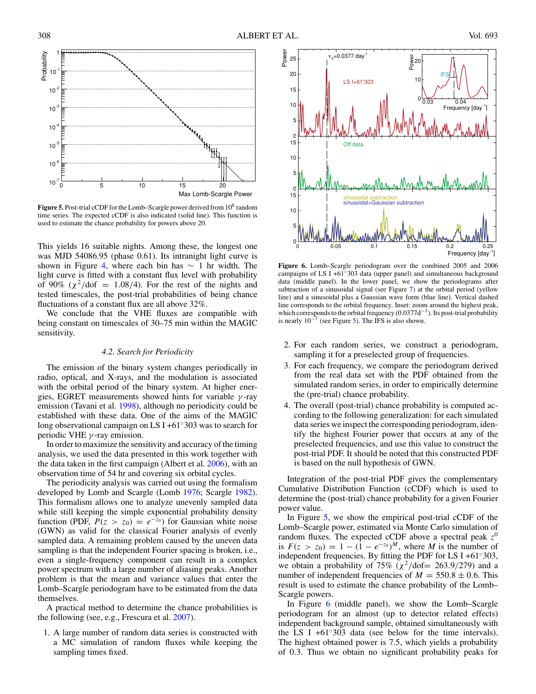<span id="page-5-0"></span>

Figure 5. Post-trial cCDF for the Lomb–Scargle power derived from 10<sup>6</sup> random time series. The expected cCDF is also indicated (solid line). This function is used to estimate the chance probability for powers above 20.

This yields 16 suitable nights. Among these, the longest one was MJD 54086.95 (phase 0.61). Its intranight light curve is shown in Figure [4,](#page-4-0) where each bin has  $\sim$  1 hr width. The light curve is fitted with a constant flux level with probability of 90%  $(\chi^2/\text{dof} = 1.08/4)$ . For the rest of the nights and tested timescales, the post-trial probabilities of being chance fluctuations of a constant flux are all above 32%.

We conclude that the VHE fluxes are compatible with being constant on timescales of 30–75 min within the MAGIC sensitivity.

# *4.2. Search for Periodicity*

The emission of the binary system changes periodically in radio, optical, and X-rays, and the modulation is associated with the orbital period of the binary system. At higher energies, EGRET measurements showed hints for variable *γ* -ray emission (Tavani et al. [1998\)](#page-7-0), although no periodicity could be established with these data. One of the aims of the MAGIC long observational campaign on LS I +61◦303 was to search for periodic VHE *γ* -ray emission.

In order to maximize the sensitivity and accuracy of the timing analysis, we used the data presented in this work together with the data taken in the first campaign (Albert et al. [2006\)](#page-7-0), with an observation time of 54 hr and covering six orbital cycles.

The periodicity analysis was carried out using the formalism developed by Lomb and Scargle (Lomb [1976;](#page-7-0) Scargle [1982\)](#page-7-0). This formalism allows one to analyze unevenly sampled data while still keeping the simple exponential probability density function (PDF,  $P(z > z_0) = e^{-z_0}$ ) for Gaussian white noise (GWN) as valid for the classical Fourier analysis of evenly sampled data. A remaining problem caused by the uneven data sampling is that the independent Fourier spacing is broken, i.e., even a single-frequency component can result in a complex power spectrum with a large number of aliasing peaks. Another problem is that the mean and variance values that enter the Lomb–Scargle periodogram have to be estimated from the data themselves.

A practical method to determine the chance probabilities is the following (see, e.g., Frescura et al. [2007\)](#page-7-0).

1. A large number of random data series is constructed with a MC simulation of random fluxes while keeping the sampling times fixed.



**Figure 6.** Lomb–Scargle periodogram over the combined 2005 and 2006 campaigns of LS I +61◦303 data (upper panel) and simultaneous background data (middle panel). In the lower panel, we show the periodograms after subtraction of a sinusoidal signal (see Figure [7\)](#page-6-0) at the orbital period (yellow line) and a sinusoidal plus a Gaussian wave form (blue line). Vertical dashed line corresponds to the orbital frequency. Inset: zoom around the highest peak, which corresponds to the orbital frequency (0*.*0377d−1). Its post-trial probability is nearly  $10^{-7}$  (see Figure 5). The IFS is also shown.

- 2. For each random series, we construct a periodogram, sampling it for a preselected group of frequencies.
- 3. For each frequency, we compare the periodogram derived from the real data set with the PDF obtained from the simulated random series, in order to empirically determine the (pre-trial) chance probability.
- 4. The overall (post-trial) chance probability is computed according to the following generalization: for each simulated data series we inspect the corresponding periodogram, identify the highest Fourier power that occurs at any of the preselected frequencies, and use this value to construct the post-trial PDF. It should be noted that this constructed PDF is based on the null hypothesis of GWN.

Integration of the post-trial PDF gives the complementary Cumulative Distribution Function (cCDF) which is used to determine the (post-trial) chance probability for a given Fourier power value.

In Figure 5, we show the empirical post-trial cCDF of the Lomb–Scargle power, estimated via Monte Carlo simulation of random fluxes. The expected cCDF above a spectral peak  $z^0$ is  $F(z > z_0) = 1 - (1 - e^{-z_0})^M$ , where *M* is the number of independent frequencies. By fitting the PDF for LS I +61◦303, we obtain a probability of 75% ( $\chi^2$ /dof= 263*.*9/279) and a number of independent frequencies of  $M = 550.8 \pm 0.6$ . This result is used to estimate the chance probability of the Lomb– Scargle powers.

In Figure 6 (middle panel), we show the Lomb–Scargle periodogram for an almost (up to detector related effects) independent background sample, obtained simultaneously with the LS I +61 $\degree$ 303 data (see below for the time intervals). The highest obtained power is 7.5, which yields a probability of 0*.*3. Thus we obtain no significant probability peaks for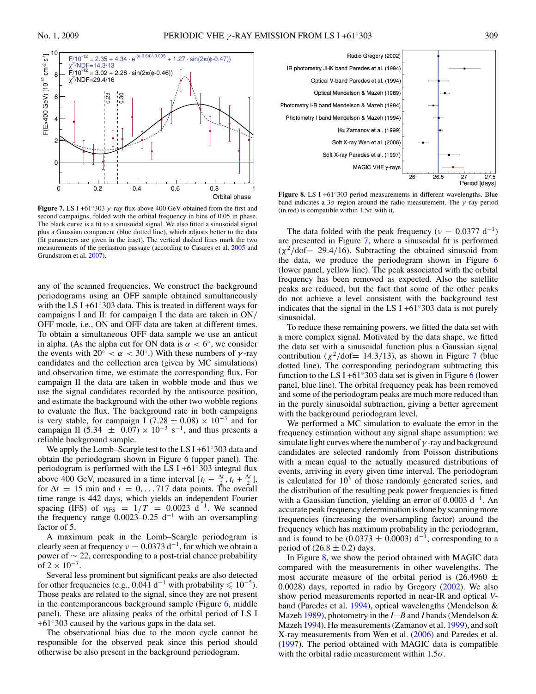<span id="page-6-0"></span>

**Figure 7.** LS I +61°303  $\gamma$ -ray flux above 400 GeV obtained from the first and second campaigns, folded with the orbital frequency in bins of 0.05 in phase. The black curve is a fit to a sinusoidal signal. We also fitted a sinusoidal signal plus a Gaussian component (blue dotted line), which adjusts better to the data (fit parameters are given in the inset). The vertical dashed lines mark the two measurements of the periastron passage (according to Casares et al. [2005](#page-7-0) and Grundstrom et al. [2007\)](#page-7-0).

any of the scanned frequencies. We construct the background periodograms using an OFF sample obtained simultaneously with the LS I +61◦303 data. This is treated in different ways for campaigns I and II: for campaign I the data are taken in ON*/* OFF mode, i.e., ON and OFF data are taken at different times. To obtain a simultaneous OFF data sample we use an anticut in alpha. (As the alpha cut for ON data is  $\alpha < 6^\circ$ , we consider the events with  $20^{\circ} < \alpha < 30^{\circ}$ .) With these numbers of *γ*-ray candidates and the collection area (given by MC simulations) and observation time, we estimate the corresponding flux. For campaign II the data are taken in wobble mode and thus we use the signal candidates recorded by the antisource position, and estimate the background with the other two wobble regions to evaluate the flux. The background rate in both campaigns is very stable, for campaign I (7.28  $\pm$  0.08) × 10<sup>-3</sup> and for campaign II (5.34  $\pm$  0.07) × 10<sup>-3</sup> s<sup>-1</sup>, and thus presents a reliable background sample.

We apply the Lomb–Scargle test to the LS I +61◦303 data and obtain the periodogram shown in Figure [6](#page-5-0) (upper panel). The periodogram is performed with the LS I +61◦303 integral flux above 400 GeV, measured in a time interval  $[t_i - \frac{\Delta t}{2}, t_i + \frac{\Delta t}{2}]$ for  $\Delta t = 15$  min and  $i = 0, \ldots 717$  data points. The overall time range is 442 days, which yields an independent Fourier spacing (IFS) of  $v_{\text{IFS}} = 1/T = 0.0023 \text{ d}^{-1}$ . We scanned the frequency range 0*.*0023–0*.*25 d−<sup>1</sup> with an oversampling factor of 5.

A maximum peak in the Lomb–Scargle periodogram is clearly seen at frequency  $v = 0.0373 d^{-1}$ , for which we obtain a power of ∼ 22, corresponding to a post-trial chance probability of  $2 \times 10^{-7}$ .

Several less prominent but significant peaks are also detected for other frequencies (e.g., 0.041 d<sup>-1</sup> with probability  $\leq 10^{-5}$ ). Those peaks are related to the signal, since they are not present in the contemporaneous background sample (Figure [6,](#page-5-0) middle panel). These are aliasing peaks of the orbital period of LS I +61◦303 caused by the various gaps in the data set.

The observational bias due to the moon cycle cannot be responsible for the observed peak since this period should otherwise be also present in the background periodogram.



**Figure 8.** LS I +61◦303 period measurements in different wavelengths. Blue band indicates a 3*σ* region around the radio measurement. The *γ* -ray period (in red) is compatible within  $1.5\sigma$  with it.

The data folded with the peak frequency ( $\nu = 0.0377 \text{ d}^{-1}$ ) are presented in Figure 7, where a sinusoidal fit is performed  $(\chi^2/\text{dof}= 29.4/16)$ . Subtracting the obtained sinusoid from the data, we produce the periodogram shown in Figure [6](#page-5-0) (lower panel, yellow line). The peak associated with the orbital frequency has been removed as expected. Also the satellite peaks are reduced, but the fact that some of the other peaks do not achieve a level consistent with the background test indicates that the signal in the LS I +61 $\degree$ 303 data is not purely sinusoidal.

To reduce these remaining powers, we fitted the data set with a more complex signal. Motivated by the data shape, we fitted the data set with a sinusoidal function plus a Gaussian signal contribution ( $\chi^2$ /dof= 14.3/13), as shown in Figure 7 (blue dotted line). The corresponding periodogram subtracting this function to the LS I +[6](#page-5-0)1 $\degree$ 303 data set is given in Figure 6 (lower panel, blue line). The orbital frequency peak has been removed and some of the periodogram peaks are much more reduced than in the purely sinusoidal subtraction, giving a better agreement with the background periodogram level.

We performed a MC simulation to evaluate the error in the frequency estimation without any signal shape assumption: we simulate light curves where the number of *γ* -ray and background candidates are selected randomly from Poisson distributions with a mean equal to the actually measured distributions of events, arriving in every given time interval. The periodogram is calculated for  $10<sup>3</sup>$  of those randomly generated series, and the distribution of the resulting peak power frequencies is fitted with a Gaussian function, yielding an error of 0*.*0003 d−1. An accurate peak frequency determination is done by scanning more frequencies (increasing the oversampling factor) around the frequency which has maximum probability in the periodogram, and is found to be (0.0373  $\pm$  0.0003) d<sup>-1</sup>, corresponding to a period of  $(26.8 \pm 0.2)$  days.

In Figure 8, we show the period obtained with MAGIC data compared with the measurements in other wavelengths. The most accurate measure of the orbital period is  $(26.4960 \pm$ 0.0028) days, reported in radio by Gregory [\(2002\)](#page-7-0). We also show period measurements reported in near-IR and optical *V*band (Paredes et al. [1994\)](#page-7-0), optical wavelengths (Mendelson & Mazeh [1989\)](#page-7-0), photometry in the *I*−*B* and *I* bands (Mendelson & Mazeh [1994\)](#page-7-0), H*α* measurements (Zamanov et al. [1999\)](#page-7-0), and soft X-ray measurements from Wen et al. [\(2006\)](#page-7-0) and Paredes et al. [\(1997\)](#page-7-0). The period obtained with MAGIC data is compatible with the orbital radio measurement within 1.5*σ*.